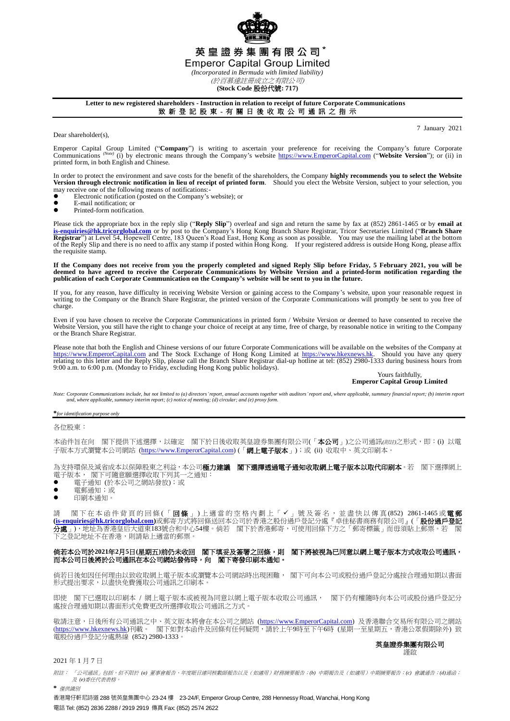

# 英皇證券集團有限公司\*

**Emperor Capital Group Limited** 

*(Incorporated in Bermuda with limited liability)* (於百慕達註冊成立之有限公司)

**(Stock Code** 股份代號**: 717)**

## **Letter to new registered shareholders - Instruction in relation to receipt of future Corporate Communications**

致 新 登 記 股 東 - 有 關 日 後 收 取 公 司 通 訊 之 指 示

Dear shareholder(s),

7 January 2021

Emperor Capital Group Limited ("Company") is writing to ascertain your preference for receiving the Company's future Corporate Company's future Corporate Communications (Note) (i) by electronic means through the Company's printed form, in both English and Chinese.

In order to protect the environment and save costs for the benefit of the shareholders, the Company **highly recommends you to select the Website**<br>Version through electronic notification in lieu of receipt of printed form.

- may receive one of the following means of notifications:<br>• Electronic notification (posted on the Company's  $\bullet$  Electronic notification (posted on the Company's website); or
- $\bullet$  E-mail notification; or
- Printed-form notification.

Please tick the appropriate box in the reply slip ("**Reply Slip**") overleaf and sign and return the same by fax at (852) 2861-1465 or by **email at [is-enquiries@hk.tricorglobal.com](mailto:is-enquiries@hk.tricorglobal.com)** or by post to the Company's Hong Kong Branch Share Registrar, Tricor Secretaries Limited ("**Branch Share**  Registrar") at Level 54, Hopewell Centre, 183 Queen's Road East, Hong Kong as soon as possible. You may use the mailing label at the bottom<br>of the Reply Slip and there is no need to affix any stamp if posted within Hong Ko the requisite stamp.

**If the Company does not receive from you the properly completed and signed Reply Slip before Friday, 5 February 2021, you will be deemed to have agreed to receive the Corporate Communications by Website Version and a printed-form notification regarding the publication of each Corporate Communication on the Company's website will be sent to you in the future.**

If you, for any reason, have difficulty in receiving Website Version or gaining access to the Company's website, upon your reasonable request in writing to the Company or the Branch Share Registrar, the printed version of the Corporate Communications will promptly be sent to you free of charge

Even if you have chosen to receive the Corporate Communications in printed form / Website Version or deemed to have consented to receive the Website Version, you still have the right to change your choice of receipt at any time, free of charge, by reasonable notice in writing to the Company or the Branch Share Registrar.

Please note that both the English and Chinese versions of our future Corporate Communications will be available on the websites of the Company at [https://www.EmperorCapital.com](https://www.emperorcapital.com/) and The Stock Exchange of Hong Kong Limited at [https://www.hkexnews.hk.](https://www.hkexnews.hk/) Should you have any query relating to this letter and the Reply Slip, please call the Branch Share Registrar dial-up ho

#### Yours faithfully, **Emperor Capital Group Limited**

Note: Corporate Communications include, but not limited to (a) directors' report, annual accounts together with auditors' report and, where applicable, summary financial report; (b) interim report *and, where applicable, summary interim report; (c) notice of meeting; (d) circular; and (e) proxy form.*

**\****for identification purpose only*

各位股東:

本函件旨在向 閣下提供下述選擇,以確定 閣下於日後收取英皇證券集團有限公司(「本公司」)之公司通訊(*附註*)之形式,即:(i) 以電 子版本方式瀏覽本公司網站 [\(https://www.EmperorCapital.com\)](https://www.emperorcapital.com/) (「網上電子版本」);或 (ii) 收取中、英文印刷本。

為支持環保及減省成本以保障股東之利益,本公司**極力建議 閣下選擇透過電子通知收取網上電子版本以取代印刷本**。若 閣下選擇網上 電子版本, 閣下可隨意願選擇收取下列其一之通知:

- 電子通知 (於本公司之網站發放);或
- 電郵通知;或
- 印刷本通知。

請 閣下在本 函 件 背 頁 的 回 條 (「 **回 條** 」) 上 適 當 的 空 格 内 劃 上 「 ✔ 」 號 及 簽 名 , 並 盡 快 以 傳 真 (852) 2861-1465 或 **電 郵 [\(is-enquiries@hk.tricorglobal.com\)](mailto:is-enquiries@hk.tricorglobal.com)**或郵寄方式將回條送回本公司於香港之股份過戶登記分處『卓佳秘書商務有限公司』(「股份過戶登記 分處」),地址為香港皇后大道東183號合和中心54樓。倘若 閣下於香港郵寄,可使用回條下方之「郵寄標籤」而毋須貼上郵票。若 閣 下之登記地址不在香港,則請貼上適當的郵票。

### 倘若本公司於**2021**年**2**月**5**日**(**星期五**)**前仍未收回 閣下填妥及簽署之回條,則 閣下將被視為已同意以網上電子版本方式收取公司通訊, 而本公司日後將於公司通訊在本公司網站發佈時,向 閣下寄發印刷本通知。

倘若日後如因任何理由以致收取網上電子版本或瀏覽本公司網站時出現困難, 閣下可向本公司或股份過戶登記分處按合理通知期以書面 形式提出要求,以盡快免費獲取公司通訊之印刷本。

即使 閣下已選取以印刷本 / 網上電子版本或被視為同意以網上電子版本收取公司通訊, 閣下仍有權隨時向本公司或股份過戶登記分 處按合理通知期以書面形式免費更改所選擇收取公司通訊之方式。

敬請注意,日後所有公司通訊之中、英文版本將會在本公司之網站 (<u>https://www.EmperorCapital.com</u>) 及香港聯合交易所有限公司之網站 (<u>https://www.hkexnews.hk</u>)刊載。 閣下如對本函件及回條有任何疑問,請於上午9時至下午6時 (星期一至星期五,香港公眾假期除外) 致 電股份過戶登記分處熱線 (852) 2980-1333。

#### 英皇證券集團有限公司 謹啟

## 2021 年 1 月 7 日

附註: 「公司通訊」包括,但不限於 *(a)* 董事會報告、年度賬目連同核數師報告以及(如適用)財務摘要報告;*(b)* 中期報告及(如適用)中期摘要報告;*(c)* 會議通告;*(d)*通函; 及 *(e)*委任代表表格。 **\*** 僅供識別

香港灣仔軒尼詩道 288 號英皇集團中心 23-24 樓 23-24/F, Emperor Group Centre, 288 Hennessy Road, Wanchai, Hong Kong 電話 Tel: (852) 2836 2288 / 2919 2919 傳真 Fax: (852) 2574 2622